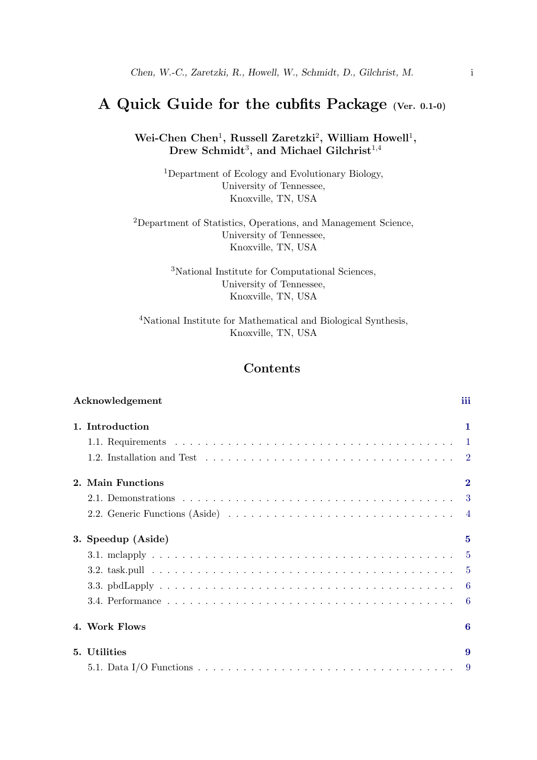# <span id="page-0-0"></span>A Quick Guide for the cubfits Package (Ver. 0.1-0)

Wei-Chen Chen<sup>1</sup>, Russell Zaretzki<sup>2</sup>, William Howell<sup>1</sup>,  $\rm{Drew\ Schmidt}^3,$  and Michael Gilchrist $^{1,4}$ 

> <sup>1</sup>Department of Ecology and Evolutionary Biology, University of Tennessee, Knoxville, TN, USA

<sup>2</sup>Department of Statistics, Operations, and Management Science, University of Tennessee, Knoxville, TN, USA

> <sup>3</sup>National Institute for Computational Sciences, University of Tennessee, Knoxville, TN, USA

<sup>4</sup>National Institute for Mathematical and Biological Synthesis, Knoxville, TN, USA

# **Contents**

| Acknowledgement                                                                                                    | iii      |
|--------------------------------------------------------------------------------------------------------------------|----------|
| 1. Introduction                                                                                                    | 1        |
|                                                                                                                    |          |
| 1.2. Installation and Test $\ldots \ldots \ldots \ldots \ldots \ldots \ldots \ldots \ldots \ldots \ldots \ldots 2$ |          |
| 2. Main Functions                                                                                                  | $\bf{2}$ |
|                                                                                                                    |          |
|                                                                                                                    |          |
| 3. Speedup (Aside)                                                                                                 | 5        |
|                                                                                                                    |          |
|                                                                                                                    |          |
|                                                                                                                    |          |
|                                                                                                                    |          |
| 4. Work Flows                                                                                                      | 6        |
| 5. Utilities                                                                                                       | 9        |
|                                                                                                                    | -9       |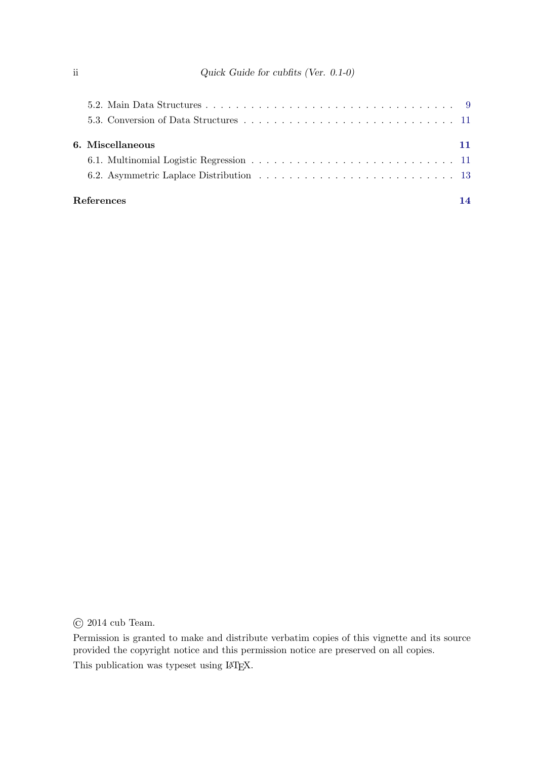| 6. Miscellaneous |    |
|------------------|----|
|                  |    |
|                  |    |
| References       | 14 |

© 2014 cub Team.

Permission is granted to make and distribute verbatim copies of this vignette and its source provided the copyright notice and this permission notice are preserved on all copies. This publication was typeset using LATEX.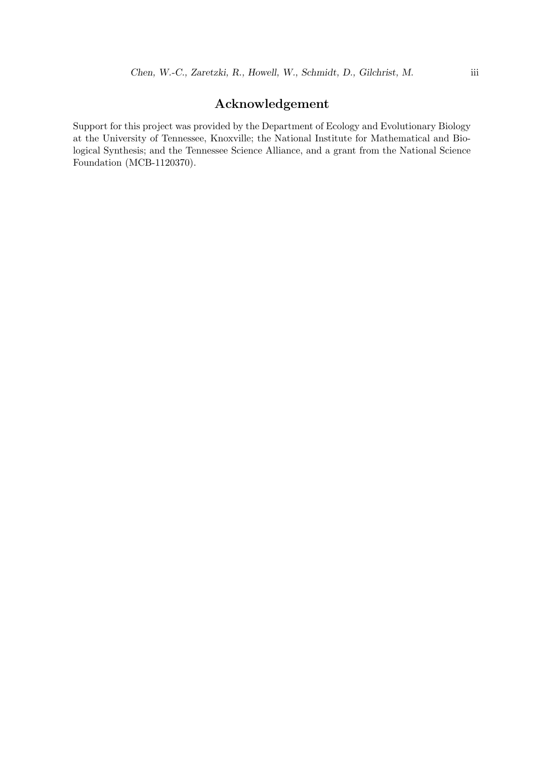# Acknowledgement

Support for this project was provided by the Department of Ecology and Evolutionary Biology at the University of Tennessee, Knoxville; the National Institute for Mathematical and Biological Synthesis; and the Tennessee Science Alliance, and a grant from the National Science Foundation (MCB-1120370).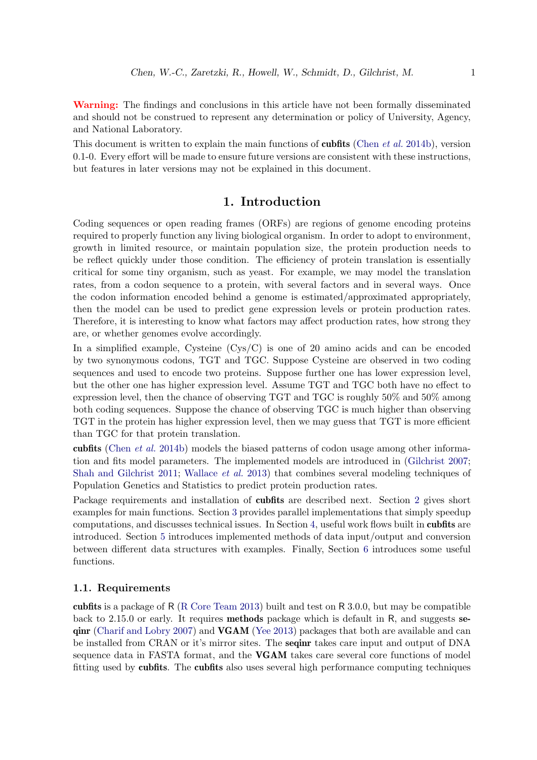Warning: The findings and conclusions in this article have not been formally disseminated and should not be construed to represent any determination or policy of University, Agency, and National Laboratory.

This document is written to explain the main functions of **cubfits** [\(Chen](#page-16-1) *et al.* [2014b\)](#page-16-1), version 0.1-0. Every effort will be made to ensure future versions are consistent with these instructions, but features in later versions may not be explained in this document.

## 1. Introduction

<span id="page-3-0"></span>Coding sequences or open reading frames (ORFs) are regions of genome encoding proteins required to properly function any living biological organism. In order to adopt to environment, growth in limited resource, or maintain population size, the protein production needs to be reflect quickly under those condition. The efficiency of protein translation is essentially critical for some tiny organism, such as yeast. For example, we may model the translation rates, from a codon sequence to a protein, with several factors and in several ways. Once the codon information encoded behind a genome is estimated/approximated appropriately, then the model can be used to predict gene expression levels or protein production rates. Therefore, it is interesting to know what factors may affect production rates, how strong they are, or whether genomes evolve accordingly.

In a simplified example, Cysteine (Cys/C) is one of 20 amino acids and can be encoded by two synonymous codons, TGT and TGC. Suppose Cysteine are observed in two coding sequences and used to encode two proteins. Suppose further one has lower expression level, but the other one has higher expression level. Assume TGT and TGC both have no effect to expression level, then the chance of observing TGT and TGC is roughly 50% and 50% among both coding sequences. Suppose the chance of observing TGC is much higher than observing TGT in the protein has higher expression level, then we may guess that TGT is more efficient than TGC for that protein translation.

cubfits [\(Chen](#page-16-1) et al. [2014b\)](#page-16-1) models the biased patterns of codon usage among other information and fits model parameters. The implemented models are introduced in [\(Gilchrist](#page-16-2) [2007;](#page-16-2) [Shah and Gilchrist](#page-17-0) [2011;](#page-17-0) [Wallace](#page-17-1) et al. [2013\)](#page-17-1) that combines several modeling techniques of Population Genetics and Statistics to predict protein production rates.

Package requirements and installation of cubfits are described next. Section [2](#page-4-1) gives short examples for main functions. Section [3](#page-7-0) provides parallel implementations that simply speedup computations, and discusses technical issues. In Section [4,](#page-8-2) useful work flows built in cubfits are introduced. Section [5](#page-11-0) introduces implemented methods of data input/output and conversion between different data structures with examples. Finally, Section [6](#page-13-1) introduces some useful functions.

## <span id="page-3-1"></span>1.1. Requirements

cubfits is a package of R [\(R Core Team](#page-17-2) [2013\)](#page-17-2) built and test on R 3.0.0, but may be compatible back to 2.15.0 or early. It requires methods package which is default in R, and suggests seqinr [\(Charif and Lobry](#page-16-3) [2007\)](#page-16-3) and VGAM [\(Yee](#page-17-3) [2013\)](#page-17-3) packages that both are available and can be installed from CRAN or it's mirror sites. The seqinr takes care input and output of DNA sequence data in FASTA format, and the VGAM takes care several core functions of model fitting used by cubfits. The cubfits also uses several high performance computing techniques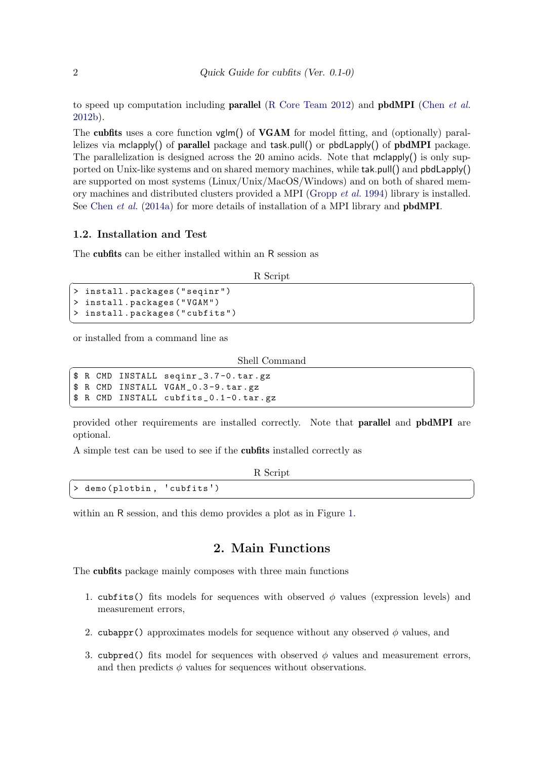to speed up computation including **parallel** [\(R Core Team](#page-17-4) [2012\)](#page-17-4) and **pbdMPI** [\(Chen](#page-16-4) *et al.*) [2012b\)](#page-16-4).

The cubfits uses a core function vglm() of VGAM for model fitting, and (optionally) parallelizes via mclapply() of parallel package and task.pull() or pbdLapply() of pbdMPI package. The parallelization is designed across the 20 amino acids. Note that  $mclapply()$  is only supported on Unix-like systems and on shared memory machines, while tak.pull() and pbdLapply() are supported on most systems (Linux/Unix/MacOS/Windows) and on both of shared memory machines and distributed clusters provided a MPI [\(Gropp](#page-16-5) et al. [1994\)](#page-16-5) library is installed. See [Chen](#page-16-6) *et al.* [\(2014a\)](#page-16-6) for more details of installation of a MPI library and **pbdMPI**.

#### <span id="page-4-0"></span>1.2. Installation and Test

The cubfits can be either installed within an R session as

R Script R Script  $\overline{R}$ 

```
install.packages ("seqinr")
 > install . packages (" VGAM " )
 > install . packages (" cubfits " )
\overline{\phantom{a}} \overline{\phantom{a}} \overline{\phantom{a}} \overline{\phantom{a}} \overline{\phantom{a}} \overline{\phantom{a}} \overline{\phantom{a}} \overline{\phantom{a}} \overline{\phantom{a}} \overline{\phantom{a}} \overline{\phantom{a}} \overline{\phantom{a}} \overline{\phantom{a}} \overline{\phantom{a}} \overline{\phantom{a}} \overline{\phantom{a}} \overline{\phantom{a}} \overline{\phantom{a}} \overline{\
```
or installed from a command line as

Shell Command ✞ ☎

```
$ R CMD INSTALL seqinr _ 3.7 -0. tar . gz
 $ R CMD INSTALL VGAM_0.3-9.tar.gz
 $ R CMD INSTALL cubfits _ 0.1-0.tar.gz
\sqrt{2\pi} \sqrt{2\pi} \sqrt{2\pi} \sqrt{2\pi} \sqrt{2\pi} \sqrt{2\pi} \sqrt{2\pi} \sqrt{2\pi} \sqrt{2\pi} \sqrt{2\pi} \sqrt{2\pi} \sqrt{2\pi} \sqrt{2\pi} \sqrt{2\pi} \sqrt{2\pi} \sqrt{2\pi} \sqrt{2\pi} \sqrt{2\pi} \sqrt{2\pi} \sqrt{2\pi} \sqrt{2\pi} \sqrt{2\pi}
```
provided other requirements are installed correctly. Note that parallel and pbdMPI are optional.

A simple test can be used to see if the cubfits installed correctly as

| R Script                   |
|----------------------------|
| > demo(plotbin, 'cubfits') |
|                            |

within an R session, and this demo provides a plot as in Figure [1.](#page-5-1)

# 2. Main Functions

<span id="page-4-1"></span>The cubfits package mainly composes with three main functions

- 1. cubfits() fits models for sequences with observed  $\phi$  values (expression levels) and measurement errors,
- 2. cubappr() approximates models for sequence without any observed  $\phi$  values, and
- 3. cubpred() fits model for sequences with observed  $\phi$  values and measurement errors, and then predicts  $\phi$  values for sequences without observations.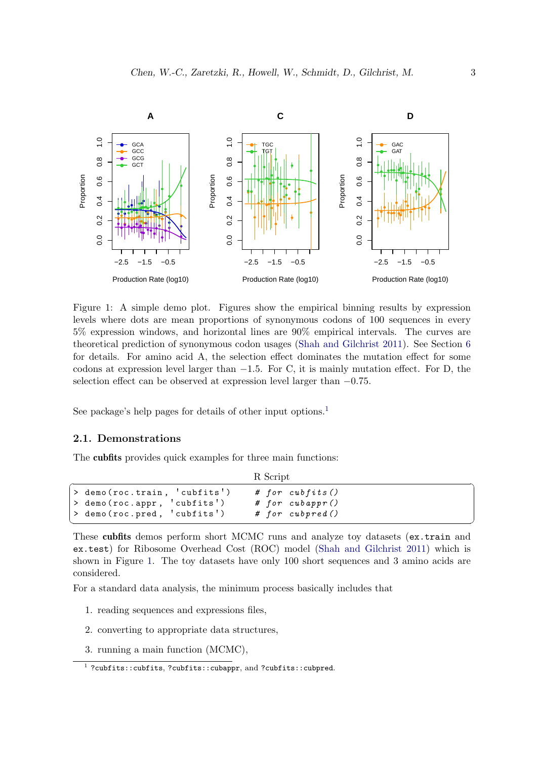<span id="page-5-1"></span>

Figure 1: A simple demo plot. Figures show the empirical binning results by expression levels where dots are mean proportions of synonymous codons of 100 sequences in every 5% expression windows, and horizontal lines are 90% empirical intervals. The curves are theoretical prediction of synonymous codon usages [\(Shah and Gilchrist](#page-17-0) [2011\)](#page-17-0). See Section [6](#page-13-1) for details. For amino acid A, the selection effect dominates the mutation effect for some codons at expression level larger than  $-1.5$ . For C, it is mainly mutation effect. For D, the selection effect can be observed at expression level larger than  $-0.75$ .

See package's help pages for details of other input options.<sup>[1](#page-5-2)</sup>

### <span id="page-5-0"></span>2.1. Demonstrations

The cubfits provides quick examples for three main functions:

|                              | R Script           |
|------------------------------|--------------------|
| > demo(roc.train, 'cubfits') | # for cubfits $()$ |
| > demo (roc.appr, 'cubfits') | $#$ for cubappr()  |
| > demo(roc.pred, 'cubfits')  | # for cubpred()    |
|                              |                    |

These cubfits demos perform short MCMC runs and analyze toy datasets (ex.train and ex.test) for Ribosome Overhead Cost (ROC) model [\(Shah and Gilchrist](#page-17-0) [2011\)](#page-17-0) which is shown in Figure [1.](#page-5-1) The toy datasets have only 100 short sequences and 3 amino acids are considered.

For a standard data analysis, the minimum process basically includes that

- 1. reading sequences and expressions files,
- 2. converting to appropriate data structures,
- 3. running a main function (MCMC),

<span id="page-5-2"></span><sup>&</sup>lt;sup>1</sup> ?cubfits::cubfits, ?cubfits::cubappr, and ?cubfits::cubpred.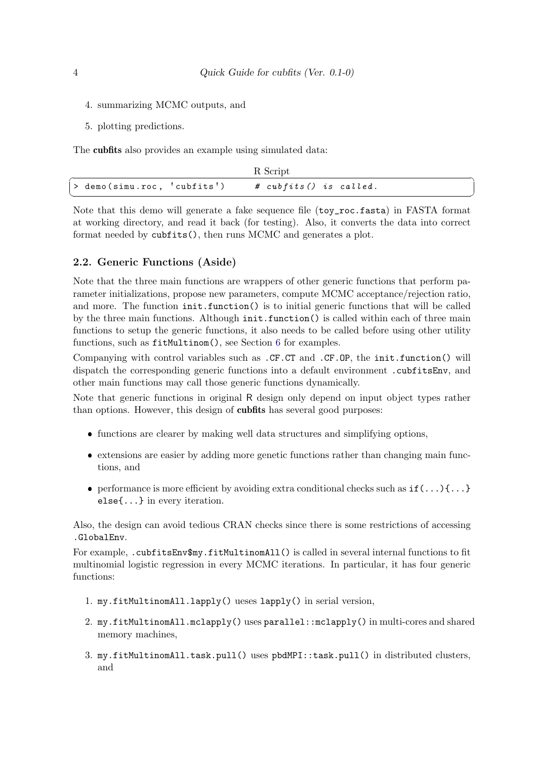- 4. summarizing MCMC outputs, and
- 5. plotting predictions.

The cubfits also provides an example using simulated data:

|                             | R Script                          |
|-----------------------------|-----------------------------------|
| > demo(simu.roc, 'cubfits') | $# \; cubfits() \; is \; called.$ |

Note that this demo will generate a fake sequence file (toy\_roc.fasta) in FASTA format at working directory, and read it back (for testing). Also, it converts the data into correct format needed by cubfits(), then runs MCMC and generates a plot.

#### <span id="page-6-0"></span>2.2. Generic Functions (Aside)

Note that the three main functions are wrappers of other generic functions that perform parameter initializations, propose new parameters, compute MCMC acceptance/rejection ratio, and more. The function init.function() is to initial generic functions that will be called by the three main functions. Although init.function() is called within each of three main functions to setup the generic functions, it also needs to be called before using other utility functions, such as fitMultinom(), see Section [6](#page-13-1) for examples.

Companying with control variables such as .CF.CT and .CF.OP, the init.function() will dispatch the corresponding generic functions into a default environment .cubfitsEnv, and other main functions may call those generic functions dynamically.

Note that generic functions in original R design only depend on input object types rather than options. However, this design of cubfits has several good purposes:

- functions are clearer by making well data structures and simplifying options,
- extensions are easier by adding more genetic functions rather than changing main functions, and
- performance is more efficient by avoiding extra conditional checks such as  $if(...)\{... \}$ else{...} in every iteration.

Also, the design can avoid tedious CRAN checks since there is some restrictions of accessing .GlobalEnv.

For example, .cubfitsEnv\$my.fitMultinomAll() is called in several internal functions to fit multinomial logistic regression in every MCMC iterations. In particular, it has four generic functions:

- 1. my.fitMultinomAll.lapply() ueses lapply() in serial version,
- 2. my.fitMultinomAll.mclapply() uses parallel::mclapply() in multi-cores and shared memory machines,
- 3. my.fitMultinomAll.task.pull() uses pbdMPI::task.pull() in distributed clusters, and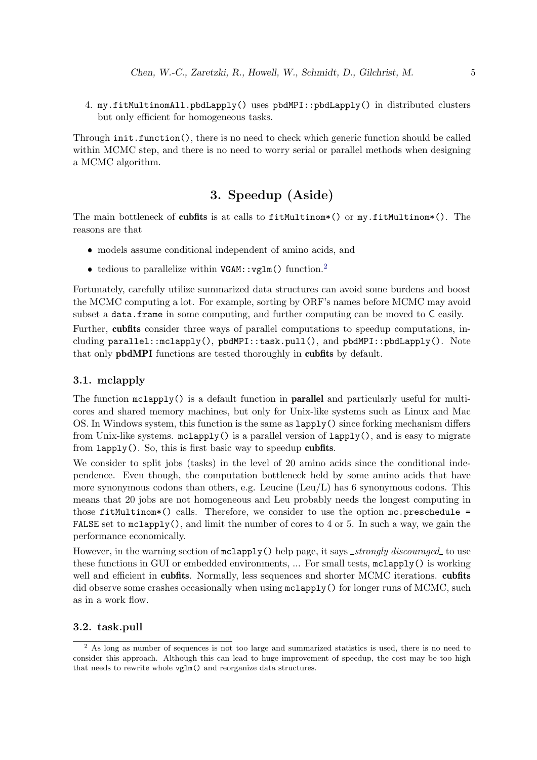4. my.fitMultinomAll.pbdLapply() uses pbdMPI::pbdLapply() in distributed clusters but only efficient for homogeneous tasks.

Through init.function(), there is no need to check which generic function should be called within MCMC step, and there is no need to worry serial or parallel methods when designing a MCMC algorithm.

# 3. Speedup (Aside)

<span id="page-7-0"></span>The main bottleneck of cubfits is at calls to fitMultinom\*() or my.fitMultinom\*(). The reasons are that

- models assume conditional independent of amino acids, and
- tedious to parallelize within  $VGAM::vglm()$  function.<sup>[2](#page-7-3)</sup>

Fortunately, carefully utilize summarized data structures can avoid some burdens and boost the MCMC computing a lot. For example, sorting by ORF's names before MCMC may avoid subset a data.frame in some computing, and further computing can be moved to C easily.

Further, cubfits consider three ways of parallel computations to speedup computations, including parallel::mclapply(), pbdMPI::task.pull(), and pbdMPI::pbdLapply(). Note that only pbdMPI functions are tested thoroughly in cubfits by default.

## <span id="page-7-1"></span>3.1. mclapply

The function  $\text{mclaply}($ ) is a default function in **parallel** and particularly useful for multicores and shared memory machines, but only for Unix-like systems such as Linux and Mac OS. In Windows system, this function is the same as lapply() since forking mechanism differs from Unix-like systems. mclapply() is a parallel version of lapply(), and is easy to migrate from lapply(). So, this is first basic way to speedup cubfits.

We consider to split jobs (tasks) in the level of 20 amino acids since the conditional independence. Even though, the computation bottleneck held by some amino acids that have more synonymous codons than others, e.g. Leucine  $(Leu/L)$  has 6 synonymous codons. This means that 20 jobs are not homogeneous and Leu probably needs the longest computing in those  $fitMultinom*()$  calls. Therefore, we consider to use the option  $mc.preschedule =$ FALSE set to  $\text{mclapply}()$ , and limit the number of cores to 4 or 5. In such a way, we gain the performance economically.

However, in the warning section of mclapply() help page, it says *\_strongly discouraged* to use these functions in GUI or embedded environments, ... For small tests, mclapply() is working well and efficient in cubfits. Normally, less sequences and shorter MCMC iterations. cubfits did observe some crashes occasionally when using  $mc\text{lapply}$  () for longer runs of MCMC, such as in a work flow.

#### <span id="page-7-2"></span>3.2. task.pull

<span id="page-7-3"></span><sup>2</sup> As long as number of sequences is not too large and summarized statistics is used, there is no need to consider this approach. Although this can lead to huge improvement of speedup, the cost may be too high that needs to rewrite whole vglm() and reorganize data structures.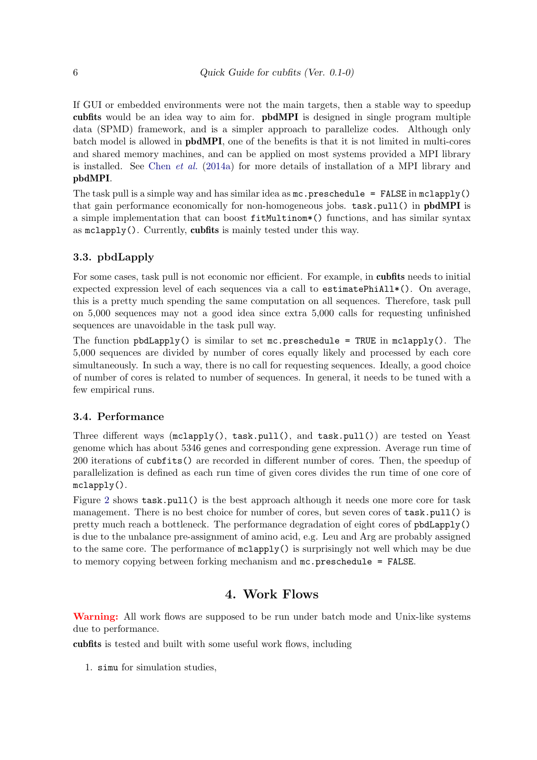If GUI or embedded environments were not the main targets, then a stable way to speedup cubfits would be an idea way to aim for. pbdMPI is designed in single program multiple data (SPMD) framework, and is a simpler approach to parallelize codes. Although only batch model is allowed in pbdMPI, one of the benefits is that it is not limited in multi-cores and shared memory machines, and can be applied on most systems provided a MPI library is installed. See Chen  $et \ al.$  [\(2014a\)](#page-16-6) for more details of installation of a MPI library and pbdMPI.

The task pull is a simple way and has similar idea as  $mc$ . preschedule = FALSE in  $mcl$ apply() that gain performance economically for non-homogeneous jobs. task.pull() in pbdMPI is a simple implementation that can boost fitMultinom\*() functions, and has similar syntax as mclapply(). Currently, cubfits is mainly tested under this way.

## <span id="page-8-0"></span>3.3. pbdLapply

For some cases, task pull is not economic nor efficient. For example, in cubfits needs to initial expected expression level of each sequences via a call to estimatePhiAll\*(). On average, this is a pretty much spending the same computation on all sequences. Therefore, task pull on 5,000 sequences may not a good idea since extra 5,000 calls for requesting unfinished sequences are unavoidable in the task pull way.

The function  $\text{pbdLapply}()$  is similar to set mc.preschedule = TRUE in mclapply(). The 5,000 sequences are divided by number of cores equally likely and processed by each core simultaneously. In such a way, there is no call for requesting sequences. Ideally, a good choice of number of cores is related to number of sequences. In general, it needs to be tuned with a few empirical runs.

#### <span id="page-8-1"></span>3.4. Performance

Three different ways (mclapply(), task.pull(), and task.pull()) are tested on Yeast genome which has about 5346 genes and corresponding gene expression. Average run time of 200 iterations of cubfits() are recorded in different number of cores. Then, the speedup of parallelization is defined as each run time of given cores divides the run time of one core of mclapply().

Figure [2](#page-9-0) shows task.pull() is the best approach although it needs one more core for task management. There is no best choice for number of cores, but seven cores of task.pull() is pretty much reach a bottleneck. The performance degradation of eight cores of pbdLapply() is due to the unbalance pre-assignment of amino acid, e.g. Leu and Arg are probably assigned to the same core. The performance of mclapply() is surprisingly not well which may be due to memory copying between forking mechanism and mc.preschedule = FALSE.

## 4. Work Flows

<span id="page-8-2"></span>Warning: All work flows are supposed to be run under batch mode and Unix-like systems due to performance.

cubfits is tested and built with some useful work flows, including

1. simu for simulation studies,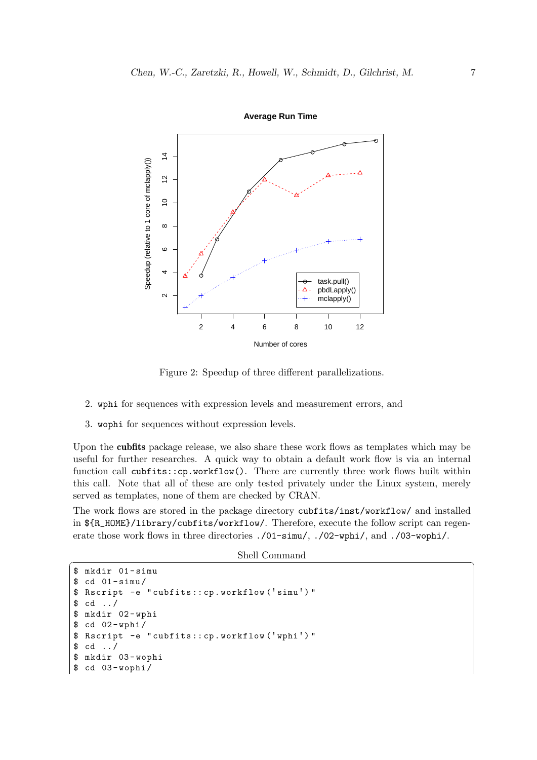<span id="page-9-0"></span>

**Average Run Time**

Figure 2: Speedup of three different parallelizations.

- 2. wphi for sequences with expression levels and measurement errors, and
- 3. wophi for sequences without expression levels.

Upon the cubfits package release, we also share these work flows as templates which may be useful for further researches. A quick way to obtain a default work flow is via an internal function call cubfits::cp.workflow(). There are currently three work flows built within this call. Note that all of these are only tested privately under the Linux system, merely served as templates, none of them are checked by CRAN.

The work flows are stored in the package directory cubfits/inst/workflow/ and installed in \${R\_HOME}/library/cubfits/workflow/. Therefore, execute the follow script can regenerate those work flows in three directories ./01-simu/, ./02-wphi/, and ./03-wophi/.

Shell Command ✞ ☎

```
$ mkdir 01 - simu
$ cd 01-simu/$ Rscript -e " cubfits :: cp . workflow ( ' simu ' ) "
$ cd../$ mkdir 02 - wphi
$ cd 02 - wphi /
$ Rscript -e " cubfits :: cp . workflow ( ' wphi ' ) "
$ cd . . /$ mkdir 03 - wophi
$ cd 03-wophi/
```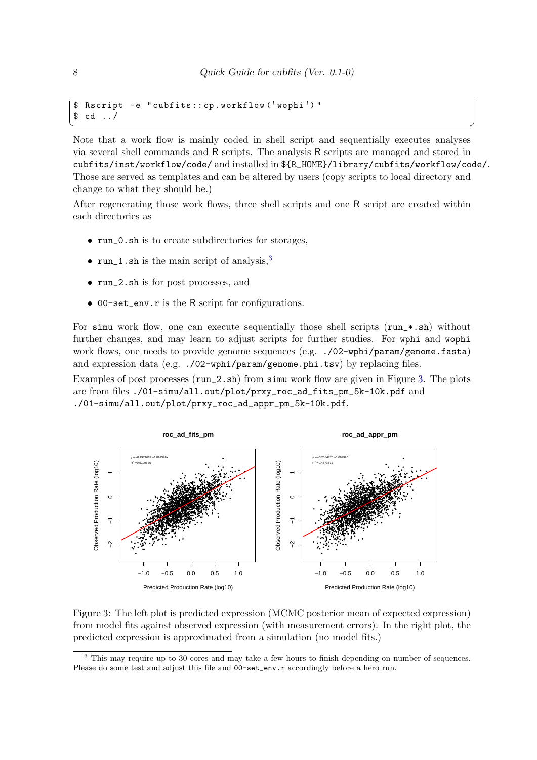$\overline{\phantom{a}}$   $\overline{\phantom{a}}$   $\overline{\phantom{a}}$   $\overline{\phantom{a}}$   $\overline{\phantom{a}}$   $\overline{\phantom{a}}$   $\overline{\phantom{a}}$   $\overline{\phantom{a}}$   $\overline{\phantom{a}}$   $\overline{\phantom{a}}$   $\overline{\phantom{a}}$   $\overline{\phantom{a}}$   $\overline{\phantom{a}}$   $\overline{\phantom{a}}$   $\overline{\phantom{a}}$   $\overline{\phantom{a}}$   $\overline{\phantom{a}}$   $\overline{\phantom{a}}$   $\overline{\$ 

```
$ Rscript -e " cubfits :: cp . workflow ( ' wophi ' ) "
$ cd . . /
```
Note that a work flow is mainly coded in shell script and sequentially executes analyses via several shell commands and R scripts. The analysis R scripts are managed and stored in cubfits/inst/workflow/code/ and installed in \${R\_HOME}/library/cubfits/workflow/code/. Those are served as templates and can be altered by users (copy scripts to local directory and change to what they should be.)

After regenerating those work flows, three shell scripts and one R script are created within each directories as

- run\_0.sh is to create subdirectories for storages,
- run\_1.sh is the main script of analysis, $3$
- run\_2.sh is for post processes, and
- 00-set\_env.r is the R script for configurations.

For simu work flow, one can execute sequentially those shell scripts  $(run.*.sh)$  without further changes, and may learn to adjust scripts for further studies. For wphi and wophi work flows, one needs to provide genome sequences (e.g.  $./02$ -wphi/param/genome.fasta) and expression data (e.g.  $./02$ -wphi/param/genome.phi.tsv) by replacing files.

Examples of post processes ( $run_2.sh$ ) from simu work flow are given in Figure [3.](#page-10-1) The plots are from files ./01-simu/all.out/plot/prxy\_roc\_ad\_fits\_pm\_5k-10k.pdf and ./01-simu/all.out/plot/prxy\_roc\_ad\_appr\_pm\_5k-10k.pdf.

<span id="page-10-1"></span>

Figure 3: The left plot is predicted expression (MCMC posterior mean of expected expression) from model fits against observed expression (with measurement errors). In the right plot, the predicted expression is approximated from a simulation (no model fits.)

<span id="page-10-0"></span><sup>&</sup>lt;sup>3</sup> This may require up to 30 cores and may take a few hours to finish depending on number of sequences. Please do some test and adjust this file and  $00$ -set\_env.r accordingly before a hero run.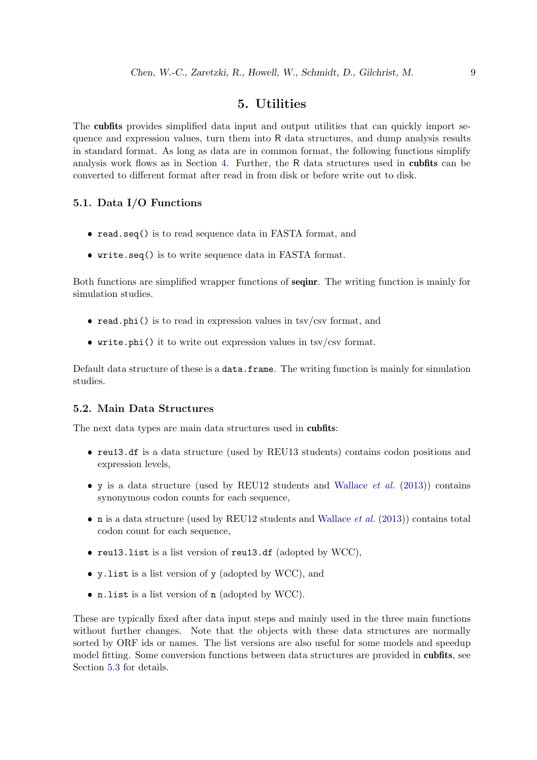# 5. Utilities

<span id="page-11-0"></span>The cubfits provides simplified data input and output utilities that can quickly import sequence and expression values, turn them into R data structures, and dump analysis results in standard format. As long as data are in common format, the following functions simplify analysis work flows as in Section [4.](#page-8-2) Further, the R data structures used in cubfits can be converted to different format after read in from disk or before write out to disk.

## <span id="page-11-1"></span>5.1. Data I/O Functions

- read.seq() is to read sequence data in FASTA format, and
- write.seq() is to write sequence data in FASTA format.

Both functions are simplified wrapper functions of **seqinr**. The writing function is mainly for simulation studies.

- read.phi() is to read in expression values in  $\text{tsv}/\text{csv}$  format, and
- $\bullet$  write.phi() it to write out expression values in tsv/csv format.

Default data structure of these is a data.frame. The writing function is mainly for simulation studies.

### <span id="page-11-2"></span>5.2. Main Data Structures

The next data types are main data structures used in cubfits:

- reu13.df is a data structure (used by REU13 students) contains codon positions and expression levels,
- $\bullet$  y is a data structure (used by REU12 students and [Wallace](#page-17-1) *et al.* [\(2013\)](#page-17-1)) contains synonymous codon counts for each sequence,
- n is a data structure (used by REU12 students and [Wallace](#page-17-1) *et al.* [\(2013\)](#page-17-1)) contains total codon count for each sequence,
- reu13.list is a list version of reu13.df (adopted by WCC),
- y.list is a list version of y (adopted by WCC), and
- n.list is a list version of n (adopted by WCC).

These are typically fixed after data input steps and mainly used in the three main functions without further changes. Note that the objects with these data structures are normally sorted by ORF ids or names. The list versions are also useful for some models and speedup model fitting. Some conversion functions between data structures are provided in **cubfits**, see Section [5.3](#page-13-0) for details.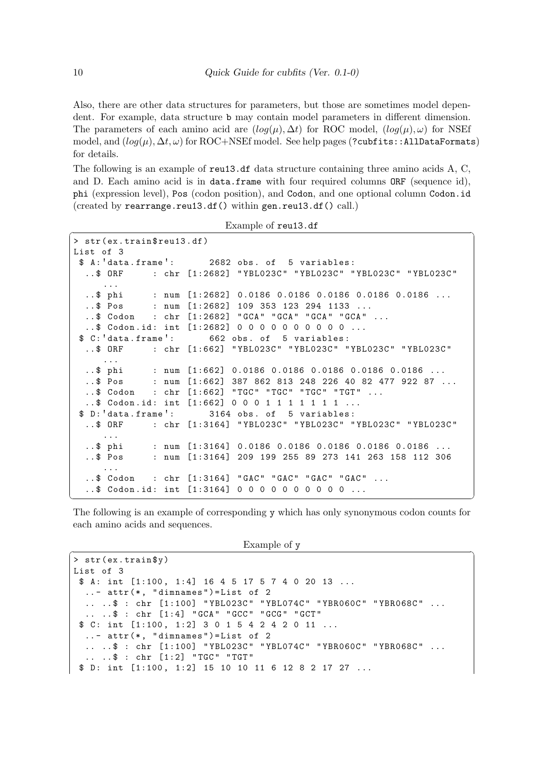Also, there are other data structures for parameters, but those are sometimes model dependent. For example, data structure b may contain model parameters in different dimension. The parameters of each amino acid are  $(log(\mu), \Delta t)$  for ROC model,  $(log(\mu), \omega)$  for NSEf model, and  $(log(\mu), \Delta t, \omega)$  for ROC+NSEf model. See help pages (?cubfits::AllDataFormats) for details.

The following is an example of reu13.df data structure containing three amino acids A, C, and D. Each amino acid is in data.frame with four required columns ORF (sequence id), phi (expression level), Pos (codon position), and Codon, and one optional column Codon.id (created by rearrange.reu13.df() within gen.reu13.df() call.)

```
Example of reu13.df
```

| > str(ex.train\$reu13.df)                                     |  |  |  |  |
|---------------------------------------------------------------|--|--|--|--|
| List of 3                                                     |  |  |  |  |
| \$ A: 'data.frame': 2682 obs. of 5 variables:                 |  |  |  |  |
| \$ ORF : chr [1:2682] "YBL023C" "YBL023C" "YBL023C" "YBL023C" |  |  |  |  |
| $\cdots$                                                      |  |  |  |  |
| \$ phi : num [1:2682] 0.0186 0.0186 0.0186 0.0186 0.0186      |  |  |  |  |
| $\ldots$ \$ Pos : num [1:2682] 109 353 123 294 1133           |  |  |  |  |
| \$ Codon : chr [1:2682] "GCA" "GCA" "GCA" "GCA"               |  |  |  |  |
| $\ldots$ \$ Codon.id: int [1:2682] 0 0 0 0 0 0 0 0 0 0        |  |  |  |  |
| \$ C: data.frame : 662 obs. of 5 variables:                   |  |  |  |  |
| \$ ORF : chr [1:662] "YBL023C" "YBL023C" "YBL023C" "YBL023C"  |  |  |  |  |
| $\cdots$                                                      |  |  |  |  |
| \$ phi : num [1:662] 0.0186 0.0186 0.0186 0.0186 0.0186       |  |  |  |  |
| \$ Pos : num [1:662] 387 862 813 248 226 40 82 477 922 87     |  |  |  |  |
| \$ Codon : chr [1:662] "TGC" "TGC" "TGC" "TGT"                |  |  |  |  |
| $\ldots$ \$ Codon.id: int [1:662] 0 0 0 1 1 1 1 1 1 1         |  |  |  |  |
| \$ D: data.frame ': 3164 obs. of 5 variables:                 |  |  |  |  |
| \$ ORF : chr [1:3164] "YBL023C" "YBL023C" "YBL023C" "YBL023C" |  |  |  |  |
| $\cdots$                                                      |  |  |  |  |
| \$ phi : num [1:3164] 0.0186 0.0186 0.0186 0.0186 0.0186      |  |  |  |  |
| \$ Pos : num [1:3164] 209 199 255 89 273 141 263 158 112 306  |  |  |  |  |
| $\cdots$                                                      |  |  |  |  |
| \$ Codon : chr [1:3164] "GAC" "GAC" "GAC" "GAC"               |  |  |  |  |
| $\ldots$ \$ Codon.id: int [1:3164] 0 0 0 0 0 0 0 0 0 0        |  |  |  |  |
|                                                               |  |  |  |  |

The following is an example of corresponding y which has only synonymous codon counts for each amino acids and sequences.

```
\frac{1}{2} \frac{1}{2} \frac{1}{2} \frac{1}{2} \frac{1}{2} \frac{1}{2} \frac{1}{2} \frac{1}{2} \frac{1}{2} \frac{1}{2} \frac{1}{2} \frac{1}{2} \frac{1}{2} \frac{1}{2} \frac{1}{2} \frac{1}{2} \frac{1}{2} \frac{1}{2} \frac{1}{2} \frac{1}{2} \frac{1}{2} \frac{1}{2}
```

```
> str(ex.train$y)
List of 3
 $ A: int [1:100, 1:4] 16 4 5 17 5 7 4 0 20 13 ...
  \ldots - attr(**, "dimnames")=List of 2
  .. .. $ : chr [1:100] "YBL023C" "YBL074C" "YBR060C" "YBR068C" ...
  .. .. $ : chr [1:4] "GCA" "GCC" "GCG" "GCT"
 $ C: int [1:100, 1:2] 3 0 1 5 4 2 4 2 0 11 ...
  \ldots - attr (*, "dimnames") = List of 2.. .. $ : chr [1:100] "YBL023C" "YBL074C" "YBR060C" "YBR068C" ...
  ... ... \$ : chr [1:2] "TGC" "TGT"
 $ D: int [1:100, 1:2] 15 10 10 11 6 12 8 2 17 27 ...
```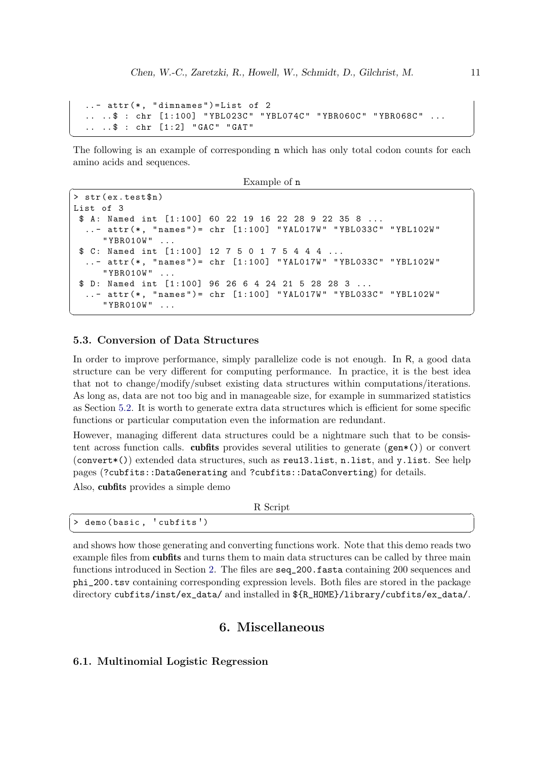```
\ldots - attr(*, "dimnames") = List of 2.. .. $ : chr [1:100] "YBL023C" "YBL074C" "YBR060C" "YBR068C"
.. ..$ : chr [1:2] "GAC" "GAT"
```
The following is an example of corresponding n which has only total codon counts for each amino acids and sequences.

 $\sqrt{2\pi}$   $\sqrt{2\pi}$   $\sqrt{2\pi}$   $\sqrt{2\pi}$   $\sqrt{2\pi}$   $\sqrt{2\pi}$   $\sqrt{2\pi}$   $\sqrt{2\pi}$   $\sqrt{2\pi}$   $\sqrt{2\pi}$   $\sqrt{2\pi}$   $\sqrt{2\pi}$   $\sqrt{2\pi}$   $\sqrt{2\pi}$   $\sqrt{2\pi}$   $\sqrt{2\pi}$   $\sqrt{2\pi}$   $\sqrt{2\pi}$   $\sqrt{2\pi}$   $\sqrt{2\pi}$   $\sqrt{2\pi}$   $\sqrt{2\pi}$ 

```
\frac{1}{2} \frac{1}{2} \frac{1}{2} \frac{1}{2} \frac{1}{2} \frac{1}{2} \frac{1}{2} \frac{1}{2} \frac{1}{2} \frac{1}{2} \frac{1}{2} \frac{1}{2} \frac{1}{2} \frac{1}{2} \frac{1}{2} \frac{1}{2} \frac{1}{2} \frac{1}{2} \frac{1}{2} \frac{1}{2} \frac{1}{2} \frac{1}{2}
```

```
> str(ex.test\$n)List of 3
 $ A: Named int [1:100] 60 22 19 16 22 28 9 22 35 8 ...
  .. - attr (* , " names ") = chr [1:100] " YAL017W " " YBL033C " " YBL102W "
     " YBR010W " ...
 $ C: Named int [1:100] 12 7 5 0 1 7 5 4 4 4 ...
  ..- attr (*, "names") = chr [1:100] "YAL017W" "YBL033C" "YBL102W"
     " YBR010W"
 $ D: Named int [1:100] 96 26 6 4 24 21 5 28 28 3 ...
  ..- attr (*, "names") = chr [1:100] "YAL017W" "YBL033C" "YBL102W"
     " YBR010W " ...
```
#### <span id="page-13-0"></span>5.3. Conversion of Data Structures

In order to improve performance, simply parallelize code is not enough. In R, a good data structure can be very different for computing performance. In practice, it is the best idea that not to change/modify/subset existing data structures within computations/iterations. As long as, data are not too big and in manageable size, for example in summarized statistics as Section [5.2.](#page-11-2) It is worth to generate extra data structures which is efficient for some specific functions or particular computation even the information are redundant.

 $\overline{\phantom{a}}$   $\overline{\phantom{a}}$   $\overline{\phantom{a}}$   $\overline{\phantom{a}}$   $\overline{\phantom{a}}$   $\overline{\phantom{a}}$   $\overline{\phantom{a}}$   $\overline{\phantom{a}}$   $\overline{\phantom{a}}$   $\overline{\phantom{a}}$   $\overline{\phantom{a}}$   $\overline{\phantom{a}}$   $\overline{\phantom{a}}$   $\overline{\phantom{a}}$   $\overline{\phantom{a}}$   $\overline{\phantom{a}}$   $\overline{\phantom{a}}$   $\overline{\phantom{a}}$   $\overline{\$ 

However, managing different data structures could be a nightmare such that to be consistent across function calls. cubfits provides several utilities to generate  $(gen*())$  or convert (convert\*()) extended data structures, such as reu13.list, n.list, and y.list. See help pages (?cubfits::DataGenerating and ?cubfits::DataConverting) for details.

Also, cubfits provides a simple demo

```
R Script R Script ₹
> demo ( basic , ' cubfits ' )
```
 $\begin{pmatrix} 1 & 1 & 1 \ 1 & 1 & 1 \ 1 & 1 & 1 \end{pmatrix}$ 

and shows how those generating and converting functions work. Note that this demo reads two example files from cubfits and turns them to main data structures can be called by three main functions introduced in Section [2.](#page-4-1) The files are seq\_200.fasta containing 200 sequences and phi\_200.tsv containing corresponding expression levels. Both files are stored in the package directory cubfits/inst/ex\_data/ and installed in \${R\_HOME}/library/cubfits/ex\_data/.

# 6. Miscellaneous

#### <span id="page-13-2"></span><span id="page-13-1"></span>6.1. Multinomial Logistic Regression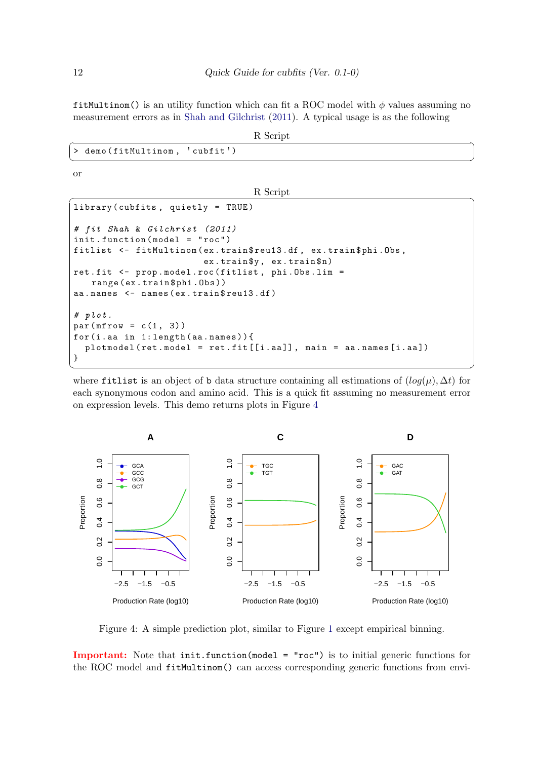fitMultinom() is an utility function which can fit a ROC model with  $\phi$  values assuming no measurement errors as in [Shah and Gilchrist](#page-17-0) [\(2011\)](#page-17-0). A typical usage is as the following

|  | R Script |  |
|--|----------|--|
|  |          |  |

| R Script                      |
|-------------------------------|
| > demo(fitMultinom, 'cubfit') |
|                               |

or

R Script R Script  $\overline{R}$ 

```
library ( cubfits , quietly = TRUE )
# fit Shah & Gilchrist (2011)
init . function ( model = " roc ")
fitlist <- fitMultinom (ex.train$reu13.df, ex.train$phi.Obs,
                          ex . train $y , ex . train $n)
ret . fit <- prop . model . roc ( fitlist , phi . Obs . lim =
   range (ex.train $phi. Obs))
aa.names <- names (ex.train$reu13.df)
# plot.
par(mfrow = c(1, 3))for (i.aa in 1: length (aa. names)) {
  plotmodel (ret. model = ret.fit [[i.aa]], main = aa.names [i.aa])
}
```
where fitlist is an object of b data structure containing all estimations of  $(log(\mu), \Delta t)$  for each synonymous codon and amino acid. This is a quick fit assuming no measurement error on expression levels. This demo returns plots in Figure [4](#page-14-0)

 $\overline{\phantom{a}}$   $\overline{\phantom{a}}$   $\overline{\phantom{a}}$   $\overline{\phantom{a}}$   $\overline{\phantom{a}}$   $\overline{\phantom{a}}$   $\overline{\phantom{a}}$   $\overline{\phantom{a}}$   $\overline{\phantom{a}}$   $\overline{\phantom{a}}$   $\overline{\phantom{a}}$   $\overline{\phantom{a}}$   $\overline{\phantom{a}}$   $\overline{\phantom{a}}$   $\overline{\phantom{a}}$   $\overline{\phantom{a}}$   $\overline{\phantom{a}}$   $\overline{\phantom{a}}$   $\overline{\$ 

<span id="page-14-0"></span>

Figure 4: A simple prediction plot, similar to Figure [1](#page-5-1) except empirical binning.

Important: Note that init.function(model = "roc") is to initial generic functions for the ROC model and fitMultinom() can access corresponding generic functions from envi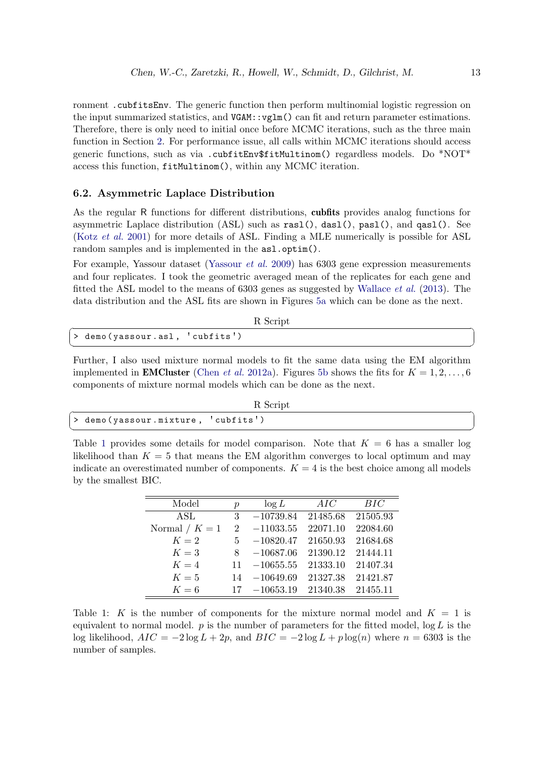ronment .cubfitsEnv. The generic function then perform multinomial logistic regression on the input summarized statistics, and VGAM::vglm() can fit and return parameter estimations. Therefore, there is only need to initial once before MCMC iterations, such as the three main function in Section [2.](#page-4-1) For performance issue, all calls within MCMC iterations should access generic functions, such as via .cubfitEnv\$fitMultinom() regardless models. Do \*NOT\* access this function, fitMultinom(), within any MCMC iteration.

# <span id="page-15-0"></span>6.2. Asymmetric Laplace Distribution

As the regular R functions for different distributions, cubfits provides analog functions for asymmetric Laplace distribution (ASL) such as rasl(), dasl(), pasl(), and qasl(). See (Kotz [et al.](#page-17-5) [2001\)](#page-17-5) for more details of ASL. Finding a MLE numerically is possible for ASL random samples and is implemented in the  $as1.$ optim().

For example, Yassour dataset [\(Yassour](#page-17-6) et al. [2009\)](#page-17-6) has 6303 gene expression measurements and four replicates. I took the geometric averaged mean of the replicates for each gene and fitted the ASL model to the means of 6303 genes as suggested by [Wallace](#page-17-1) et al. [\(2013\)](#page-17-1). The data distribution and the ASL fits are shown in Figures [5a](#page-16-7) which can be done as the next.

| R Script                         |
|----------------------------------|
| $>$ demo(yassour.asl, 'cubfits') |
|                                  |

Further, I also used mixture normal models to fit the same data using the EM algorithm implemented in **EMCluster** [\(Chen](#page-16-8) *et al.* [2012a\)](#page-16-8). Figures [5b](#page-16-7) shows the fits for  $K = 1, 2, ..., 6$ components of mixture normal models which can be done as the next.

| R Script |                                    |
|----------|------------------------------------|
|          | > demo(yassour.mixture, 'cubfits') |
|          |                                    |

<span id="page-15-1"></span>Table [1](#page-15-1) provides some details for model comparison. Note that  $K = 6$  has a smaller log likelihood than  $K = 5$  that means the EM algorithm converges to local optimum and may indicate an overestimated number of components.  $K = 4$  is the best choice among all models by the smallest BIC.

| Model            | $\mathcal{D}$ | $\log L$             | AIC               | BIC      |
|------------------|---------------|----------------------|-------------------|----------|
| ASL              | 3             | $-10739.84$ 21485.68 |                   | 21505.93 |
| Normal / $K = 1$ |               | $2 -11033.55$        | 22071.10          | 22084.60 |
| $K=2$            |               | $5 -10820.47$        | 21650.93          | 21684.68 |
| $K=3$            | 8             | $-10687.06$          | 21390.12 21444.11 |          |
| $K=4$            |               | $11 - 10655.55$      | 21333.10          | 21407.34 |
| $K=5$            |               | $14 - 10649.69$      | 21327.38          | 21421.87 |
| $K=6$            | 17            | $-10653.19$          | 21340.38          | 21455.11 |

Table 1: K is the number of components for the mixture normal model and  $K = 1$  is equivalent to normal model.  $p$  is the number of parameters for the fitted model,  $log L$  is the log likelihood,  $AIC = -2 \log L + 2p$ , and  $BIC = -2 \log L + p \log(n)$  where  $n = 6303$  is the number of samples.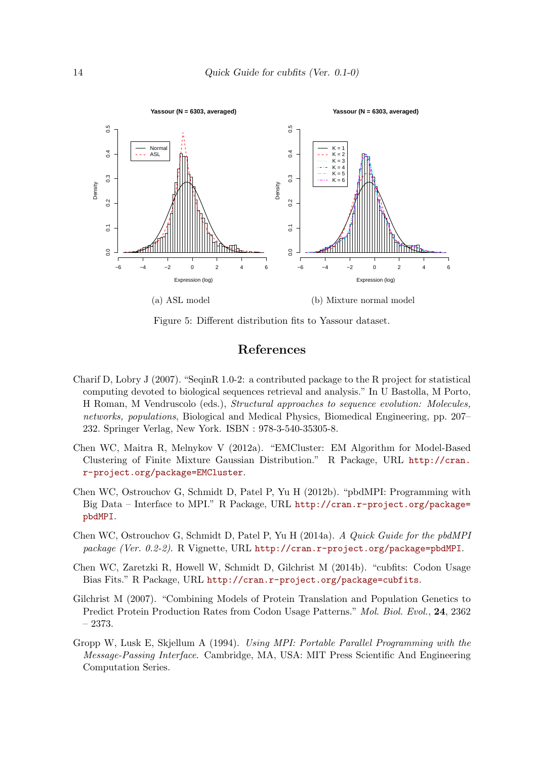<span id="page-16-7"></span>

Figure 5: Different distribution fits to Yassour dataset.

## References

- <span id="page-16-3"></span><span id="page-16-0"></span>Charif D, Lobry J (2007). "SeqinR 1.0-2: a contributed package to the R project for statistical computing devoted to biological sequences retrieval and analysis." In U Bastolla, M Porto, H Roman, M Vendruscolo (eds.), Structural approaches to sequence evolution: Molecules, networks, populations, Biological and Medical Physics, Biomedical Engineering, pp. 207– 232. Springer Verlag, New York. ISBN : 978-3-540-35305-8.
- <span id="page-16-8"></span>Chen WC, Maitra R, Melnykov V (2012a). "EMCluster: EM Algorithm for Model-Based Clustering of Finite Mixture Gaussian Distribution." R Package, URL [http://cran.](http://cran.r-project.org/package=EMCluster) [r-project.org/package=EMCluster](http://cran.r-project.org/package=EMCluster).
- <span id="page-16-4"></span>Chen WC, Ostrouchov G, Schmidt D, Patel P, Yu H (2012b). "pbdMPI: Programming with Big Data – Interface to MPI." R Package, URL [http://cran.r-project.org/package=](http://cran.r-project.org/package=pbdMPI) [pbdMPI](http://cran.r-project.org/package=pbdMPI).
- <span id="page-16-6"></span>Chen WC, Ostrouchov G, Schmidt D, Patel P, Yu H (2014a). A Quick Guide for the pbdMPI package (Ver. 0.2-2). R Vignette, URL <http://cran.r-project.org/package=pbdMPI>.
- <span id="page-16-1"></span>Chen WC, Zaretzki R, Howell W, Schmidt D, Gilchrist M (2014b). "cubfits: Codon Usage Bias Fits." R Package, URL <http://cran.r-project.org/package=cubfits>.
- <span id="page-16-2"></span>Gilchrist M (2007). "Combining Models of Protein Translation and Population Genetics to Predict Protein Production Rates from Codon Usage Patterns." Mol. Biol. Evol., 24, 2362 – 2373.
- <span id="page-16-5"></span>Gropp W, Lusk E, Skjellum A (1994). Using MPI: Portable Parallel Programming with the Message-Passing Interface. Cambridge, MA, USA: MIT Press Scientific And Engineering Computation Series.